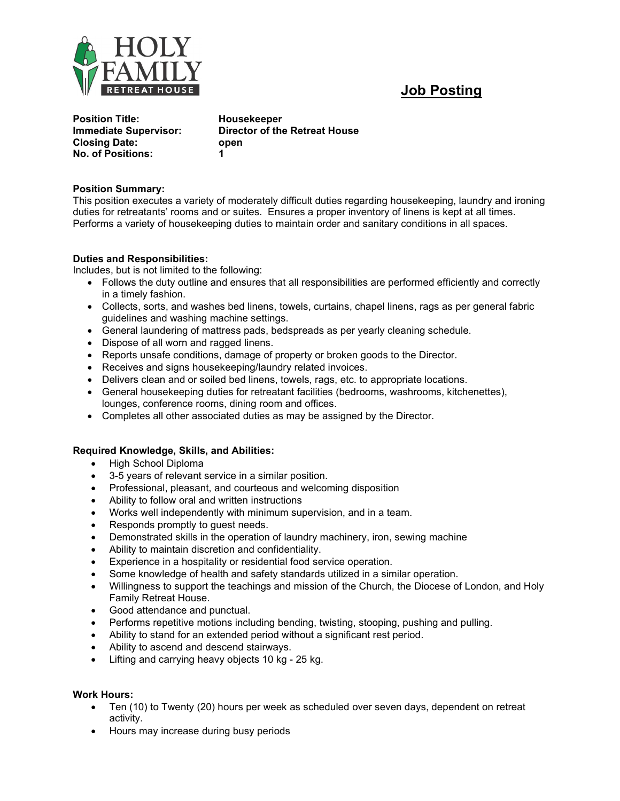

# Job Posting

Position Title: **Housekeeper** Closing Date: open No. of Positions: 1

Immediate Supervisor: Director of the Retreat House

### Position Summary:

This position executes a variety of moderately difficult duties regarding housekeeping, laundry and ironing duties for retreatants' rooms and or suites. Ensures a proper inventory of linens is kept at all times. Performs a variety of housekeeping duties to maintain order and sanitary conditions in all spaces.

# Duties and Responsibilities:

Includes, but is not limited to the following:

- Follows the duty outline and ensures that all responsibilities are performed efficiently and correctly in a timely fashion.
- Collects, sorts, and washes bed linens, towels, curtains, chapel linens, rags as per general fabric guidelines and washing machine settings.
- General laundering of mattress pads, bedspreads as per yearly cleaning schedule.
- Dispose of all worn and ragged linens.
- Reports unsafe conditions, damage of property or broken goods to the Director.
- Receives and signs housekeeping/laundry related invoices.
- Delivers clean and or soiled bed linens, towels, rags, etc. to appropriate locations.
- General housekeeping duties for retreatant facilities (bedrooms, washrooms, kitchenettes), lounges, conference rooms, dining room and offices.
- Completes all other associated duties as may be assigned by the Director.

### Required Knowledge, Skills, and Abilities:

- High School Diploma
- 3-5 years of relevant service in a similar position.
- Professional, pleasant, and courteous and welcoming disposition
- Ability to follow oral and written instructions
- Works well independently with minimum supervision, and in a team.
- Responds promptly to guest needs.
- Demonstrated skills in the operation of laundry machinery, iron, sewing machine
- Ability to maintain discretion and confidentiality.
- Experience in a hospitality or residential food service operation.
- Some knowledge of health and safety standards utilized in a similar operation.
- Willingness to support the teachings and mission of the Church, the Diocese of London, and Holy Family Retreat House.
- Good attendance and punctual.
- Performs repetitive motions including bending, twisting, stooping, pushing and pulling.
- Ability to stand for an extended period without a significant rest period.
- Ability to ascend and descend stairways.
- Lifting and carrying heavy objects 10 kg 25 kg.

### Work Hours:

- Ten (10) to Twenty (20) hours per week as scheduled over seven days, dependent on retreat activity.
- Hours may increase during busy periods